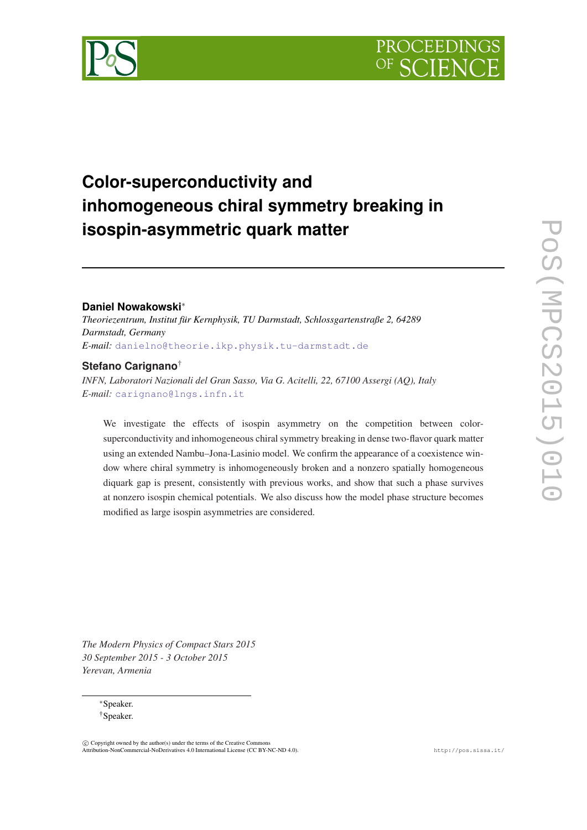

# **Color-superconductivity and inhomogeneous chiral symmetry breaking in isospin-asymmetric quark matter**

# **Daniel Nowakowski**<sup>∗</sup>

*Theoriezentrum, Institut für Kernphysik, TU Darmstadt, Schlossgartenstraße 2, 64289 Darmstadt, Germany E-mail:* [danielno@theorie.ikp.physik.tu-darmstadt.de](mailto:danielno@theorie.ikp.physik.tu-darmstadt.de)

# **Stefano Carignano**†

*INFN, Laboratori Nazionali del Gran Sasso, Via G. Acitelli, 22, 67100 Assergi (AQ), Italy E-mail:* [carignano@lngs.infn.it](mailto:carignano@lngs.infn.it)

We investigate the effects of isospin asymmetry on the competition between colorsuperconductivity and inhomogeneous chiral symmetry breaking in dense two-flavor quark matter using an extended Nambu–Jona-Lasinio model. We confirm the appearance of a coexistence window where chiral symmetry is inhomogeneously broken and a nonzero spatially homogeneous diquark gap is present, consistently with previous works, and show that such a phase survives at nonzero isospin chemical potentials. We also discuss how the model phase structure becomes modified as large isospin asymmetries are considered.

*The Modern Physics of Compact Stars 2015 30 September 2015 - 3 October 2015 Yerevan, Armenia*

> <sup>∗</sup>Speaker. †Speaker.

 $\overline{c}$  Copyright owned by the author(s) under the terms of the Creative Common Attribution-NonCommercial-NoDerivatives 4.0 International License (CC BY-NC-ND 4.0). http://pos.sissa.it/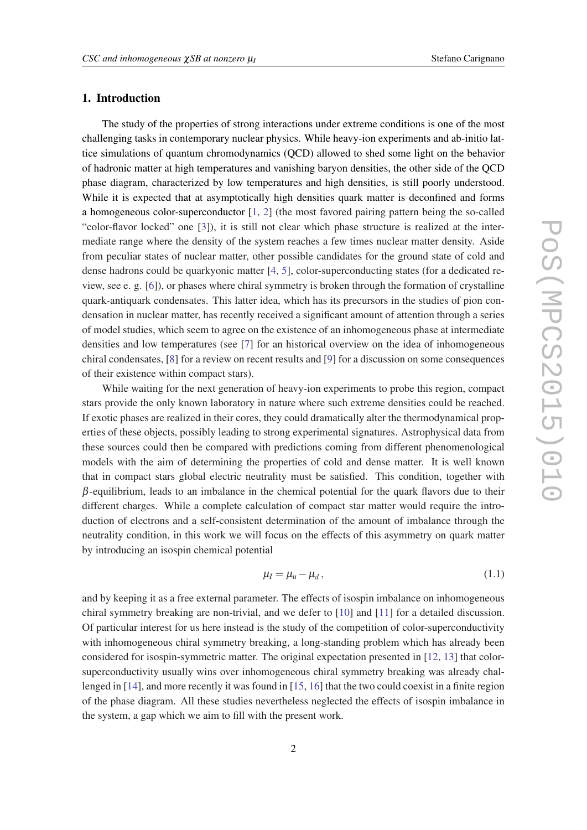# 1. Introduction

The study of the properties of strong interactions under extreme conditions is one of the most challenging tasks in contemporary nuclear physics. While heavy-ion experiments and ab-initio lattice simulations of quantum chromodynamics (QCD) allowed to shed some light on the behavior of hadronic matter at high temperatures and vanishing baryon densities, the other side of the QCD phase diagram, characterized by low temperatures and high densities, is still poorly understood. While it is expected that at asymptotically high densities quark matter is deconfined and forms a homogeneous color-superconductor  $[1, 2]$  $[1, 2]$  $[1, 2]$  $[1, 2]$  $[1, 2]$  (the most favored pairing pattern being the so-called "color-flavor locked" one [\[3\]](#page-12-0)), it is still not clear which phase structure is realized at the intermediate range where the density of the system reaches a few times nuclear matter density. Aside from peculiar states of nuclear matter, other possible candidates for the ground state of cold and dense hadrons could be quarkyonic matter [[4](#page-12-0), [5](#page-12-0)], color-superconducting states (for a dedicated review, see e. g. [[6](#page-12-0)]), or phases where chiral symmetry is broken through the formation of crystalline quark-antiquark condensates. This latter idea, which has its precursors in the studies of pion condensation in nuclear matter, has recently received a significant amount of attention through a series of model studies, which seem to agree on the existence of an inhomogeneous phase at intermediate densities and low temperatures (see [[7](#page-12-0)] for an historical overview on the idea of inhomogeneous chiral condensates, [[8](#page-12-0)] for a review on recent results and [[9](#page-12-0)] for a discussion on some consequences of their existence within compact stars).

While waiting for the next generation of heavy-ion experiments to probe this region, compact stars provide the only known laboratory in nature where such extreme densities could be reached. If exotic phases are realized in their cores, they could dramatically alter the thermodynamical properties of these objects, possibly leading to strong experimental signatures. Astrophysical data from these sources could then be compared with predictions coming from different phenomenological models with the aim of determining the properties of cold and dense matter. It is well known that in compact stars global electric neutrality must be satisfied. This condition, together with  $\beta$ -equilibrium, leads to an imbalance in the chemical potential for the quark flavors due to their different charges. While a complete calculation of compact star matter would require the introduction of electrons and a self-consistent determination of the amount of imbalance through the neutrality condition, in this work we will focus on the effects of this asymmetry on quark matter by introducing an isospin chemical potential

$$
\mu_I = \mu_u - \mu_d \,,\tag{1.1}
$$

and by keeping it as a free external parameter. The effects of isospin imbalance on inhomogeneous chiral symmetry breaking are non-trivial, and we defer to [[10\]](#page-12-0) and [\[11](#page-12-0)] for a detailed discussion. Of particular interest for us here instead is the study of the competition of color-superconductivity with inhomogeneous chiral symmetry breaking, a long-standing problem which has already been considered for isospin-symmetric matter. The original expectation presented in [[12](#page-12-0), [13\]](#page-12-0) that colorsuperconductivity usually wins over inhomogeneous chiral symmetry breaking was already challenged in [[14\]](#page-12-0), and more recently it was found in [[15](#page-12-0), [16](#page-12-0)] that the two could coexist in a finite region of the phase diagram. All these studies nevertheless neglected the effects of isospin imbalance in the system, a gap which we aim to fill with the present work.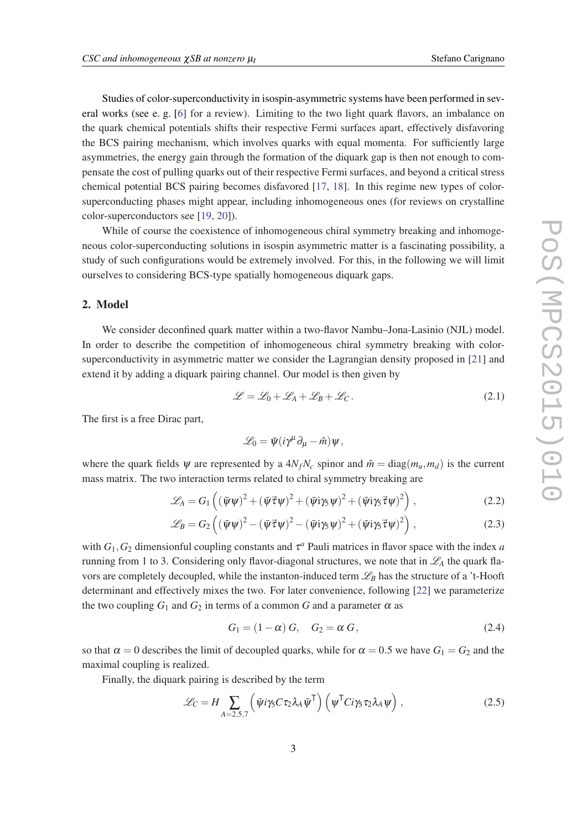<span id="page-2-0"></span>Studies of color-superconductivity in isospin-asymmetric systems have been performed in several works (see e. g. [\[6\]](#page-12-0) for a review). Limiting to the two light quark flavors, an imbalance on the quark chemical potentials shifts their respective Fermi surfaces apart, effectively disfavoring the BCS pairing mechanism, which involves quarks with equal momenta. For sufficiently large asymmetries, the energy gain through the formation of the diquark gap is then not enough to compensate the cost of pulling quarks out of their respective Fermi surfaces, and beyond a critical stress chemical potential BCS pairing becomes disfavored [\[17](#page-12-0), [18](#page-12-0)]. In this regime new types of colorsuperconducting phases might appear, including inhomogeneous ones (for reviews on crystalline color-superconductors see [[19,](#page-12-0) [20\]](#page-12-0)).

While of course the coexistence of inhomogeneous chiral symmetry breaking and inhomogeneous color-superconducting solutions in isospin asymmetric matter is a fascinating possibility, a study of such configurations would be extremely involved. For this, in the following we will limit ourselves to considering BCS-type spatially homogeneous diquark gaps.

## 2. Model

We consider deconfined quark matter within a two-flavor Nambu–Jona-Lasinio (NJL) model. In order to describe the competition of inhomogeneous chiral symmetry breaking with colorsuperconductivity in asymmetric matter we consider the Lagrangian density proposed in [[21](#page-13-0)] and extend it by adding a diquark pairing channel. Our model is then given by

$$
\mathcal{L} = \mathcal{L}_0 + \mathcal{L}_A + \mathcal{L}_B + \mathcal{L}_C. \tag{2.1}
$$

The first is a free Dirac part,

$$
\mathscr{L}_0 = \bar{\psi}(i\gamma^\mu\partial_\mu - \hat{m})\psi,
$$

where the quark fields  $\psi$  are represented by a  $4N_fN_c$  spinor and  $\hat{m} = \text{diag}(m_\mu, m_d)$  is the current mass matrix. The two interaction terms related to chiral symmetry breaking are

$$
\mathscr{L}_A = G_1 \left( \left( \bar{\psi} \psi \right)^2 + \left( \bar{\psi} \vec{\tau} \psi \right)^2 + \left( \bar{\psi} i \gamma_5 \psi \right)^2 + \left( \bar{\psi} i \gamma_5 \vec{\tau} \psi \right)^2 \right), \tag{2.2}
$$

$$
\mathscr{L}_B = G_2 \left( \left( \bar{\psi} \psi \right)^2 - \left( \bar{\psi} \vec{\tau} \psi \right)^2 - \left( \bar{\psi} \mathbf{i} \gamma_5 \psi \right)^2 + \left( \bar{\psi} \mathbf{i} \gamma_5 \vec{\tau} \psi \right)^2 \right), \tag{2.3}
$$

with  $G_1$ ,  $G_2$  dimensionful coupling constants and  $\tau^a$  Pauli matrices in flavor space with the index *a* running from 1 to 3. Considering only flavor-diagonal structures, we note that in  $\mathcal{L}_A$  the quark flavors are completely decoupled, while the instanton-induced term  $\mathcal{L}_B$  has the structure of a 't-Hooft determinant and effectively mixes the two. For later convenience, following [\[22](#page-13-0)] we parameterize the two coupling  $G_1$  and  $G_2$  in terms of a common G and a parameter  $\alpha$  as

$$
G_1 = (1 - \alpha) G, \quad G_2 = \alpha G, \tag{2.4}
$$

so that  $\alpha = 0$  describes the limit of decoupled quarks, while for  $\alpha = 0.5$  we have  $G_1 = G_2$  and the maximal coupling is realized.

Finally, the diquark pairing is described by the term

$$
\mathcal{L}_C = H \sum_{A=2,5,7} \left( \bar{\psi} i \gamma_5 C \tau_2 \lambda_A \bar{\psi}^\mathsf{T} \right) \left( \psi^\mathsf{T} C i \gamma_5 \tau_2 \lambda_A \psi \right), \tag{2.5}
$$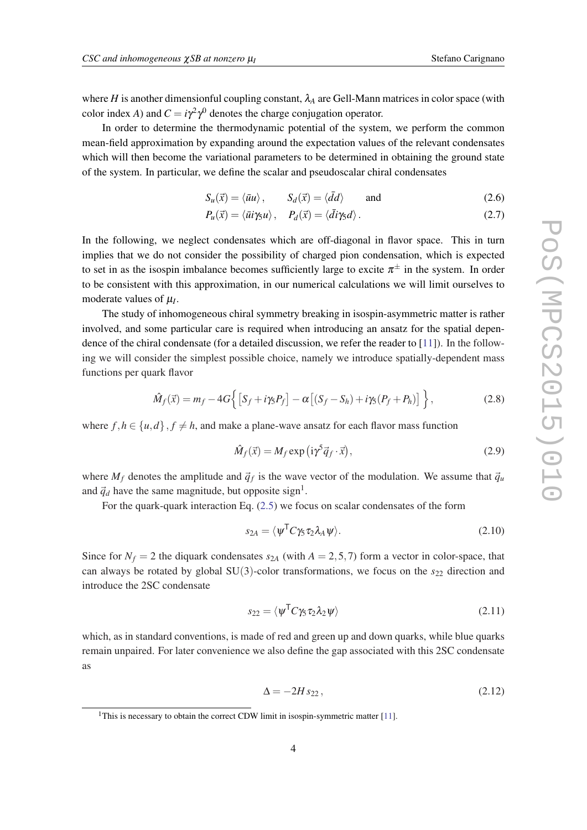<span id="page-3-0"></span>where *H* is another dimensionful coupling constant,  $\lambda_A$  are Gell-Mann matrices in color space (with color index *A*) and  $C = i\gamma^2 \gamma^0$  denotes the charge conjugation operator.

In order to determine the thermodynamic potential of the system, we perform the common mean-field approximation by expanding around the expectation values of the relevant condensates which will then become the variational parameters to be determined in obtaining the ground state of the system. In particular, we define the scalar and pseudoscalar chiral condensates

$$
S_u(\vec{x}) = \langle \bar{u}u \rangle, \qquad S_d(\vec{x}) = \langle \bar{d}d \rangle \qquad \text{and} \qquad (2.6)
$$

$$
P_u(\vec{x}) = \langle \vec{u} i \gamma_5 u \rangle, \quad P_d(\vec{x}) = \langle \vec{d} i \gamma_5 d \rangle.
$$
 (2.7)

In the following, we neglect condensates which are off-diagonal in flavor space. This in turn implies that we do not consider the possibility of charged pion condensation, which is expected to set in as the isospin imbalance becomes sufficiently large to excite  $\pi^{\pm}$  in the system. In order to be consistent with this approximation, in our numerical calculations we will limit ourselves to moderate values of µ*<sup>I</sup>* .

The study of inhomogeneous chiral symmetry breaking in isospin-asymmetric matter is rather involved, and some particular care is required when introducing an ansatz for the spatial dependence of the chiral condensate (for a detailed discussion, we refer the reader to [[11\]](#page-12-0)). In the following we will consider the simplest possible choice, namely we introduce spatially-dependent mass functions per quark flavor

$$
\hat{M}_f(\vec{x}) = m_f - 4G\Big\{ \left[ S_f + i\gamma_5 P_f \right] - \alpha \left[ (S_f - S_h) + i\gamma_5 (P_f + P_h) \right] \Big\},\tag{2.8}
$$

where  $f, h \in \{u, d\}, f \neq h$ , and make a plane-wave ansatz for each flavor mass function

$$
\hat{M}_f(\vec{x}) = M_f \exp\left(i\gamma^5 \vec{q}_f \cdot \vec{x}\right),\tag{2.9}
$$

where  $M_f$  denotes the amplitude and  $\vec{q}_f$  is the wave vector of the modulation. We assume that  $\vec{q}_u$ and  $\vec{q}_d$  have the same magnitude, but opposite sign<sup>1</sup>.

For the quark-quark interaction Eq. [\(2.5\)](#page-2-0) we focus on scalar condensates of the form

$$
s_{2A} = \langle \psi^{\mathsf{T}} C \gamma_5 \tau_2 \lambda_A \psi \rangle. \tag{2.10}
$$

Since for  $N_f = 2$  the diquark condensates  $s_{2A}$  (with  $A = 2, 5, 7$ ) form a vector in color-space, that can always be rotated by global SU(3)-color transformations, we focus on the  $s_{22}$  direction and introduce the 2SC condensate

$$
s_{22} = \langle \psi^{\mathsf{T}} C \gamma_5 \tau_2 \lambda_2 \psi \rangle \tag{2.11}
$$

which, as in standard conventions, is made of red and green up and down quarks, while blue quarks remain unpaired. For later convenience we also define the gap associated with this 2SC condensate as

$$
\Delta = -2H s_{22},\tag{2.12}
$$

<sup>&</sup>lt;sup>1</sup>This is necessary to obtain the correct CDW limit in isospin-symmetric matter [\[11](#page-12-0)].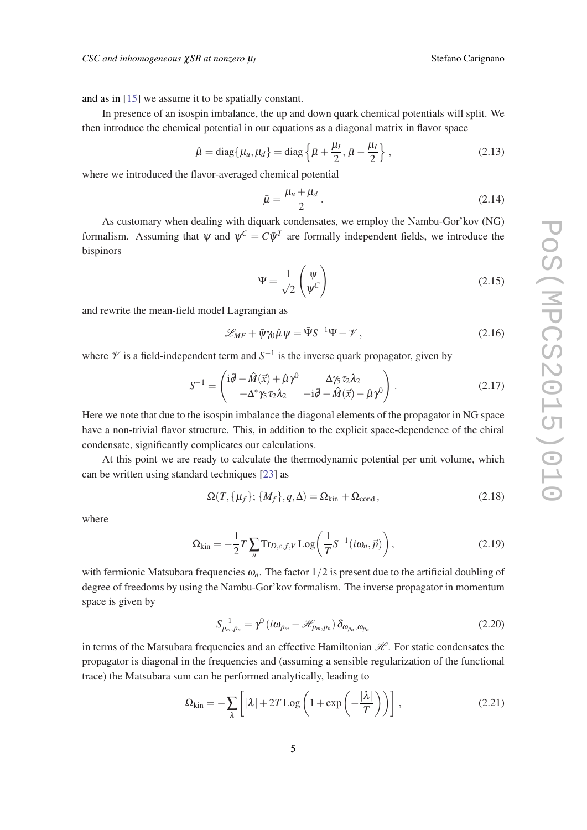<span id="page-4-0"></span>and as in [\[15](#page-12-0)] we assume it to be spatially constant.

In presence of an isospin imbalance, the up and down quark chemical potentials will split. We then introduce the chemical potential in our equations as a diagonal matrix in flavor space

$$
\hat{\mu} = \text{diag}\{\mu_u, \mu_d\} = \text{diag}\left\{\bar{\mu} + \frac{\mu_I}{2}, \bar{\mu} - \frac{\mu_I}{2}\right\},\tag{2.13}
$$

where we introduced the flavor-averaged chemical potential

$$
\bar{\mu} = \frac{\mu_u + \mu_d}{2} \,. \tag{2.14}
$$

As customary when dealing with diquark condensates, we employ the Nambu-Gor'kov (NG) formalism. Assuming that  $\psi$  and  $\psi^C = C \overline{\psi}^T$  are formally independent fields, we introduce the bispinors

$$
\Psi = \frac{1}{\sqrt{2}} \begin{pmatrix} \Psi \\ \Psi^C \end{pmatrix}
$$
 (2.15)

and rewrite the mean-field model Lagrangian as

$$
\mathcal{L}_{MF} + \bar{\psi}\gamma_0\hat{\mu}\psi = \bar{\Psi}S^{-1}\Psi - \mathscr{V},\qquad(2.16)
$$

where  $\mathscr V$  is a field-independent term and  $S^{-1}$  is the inverse quark propagator, given by

$$
S^{-1} = \begin{pmatrix} \mathrm{i}\vec{\theta} - \hat{M}(\vec{x}) + \hat{\mu}\gamma^{0} & \Delta\gamma_{5}\tau_{2}\lambda_{2} \\ -\Delta^{*}\gamma_{5}\tau_{2}\lambda_{2} & -\mathrm{i}\vec{\theta} - \hat{M}(\vec{x}) - \hat{\mu}\gamma^{0} \end{pmatrix}.
$$
 (2.17)

Here we note that due to the isospin imbalance the diagonal elements of the propagator in NG space have a non-trivial flavor structure. This, in addition to the explicit space-dependence of the chiral condensate, significantly complicates our calculations.

At this point we are ready to calculate the thermodynamic potential per unit volume, which can be written using standard techniques [[23\]](#page-13-0) as

$$
\Omega(T, \{\mu_f\}; \{M_f\}, q, \Delta) = \Omega_{\text{kin}} + \Omega_{\text{cond}}, \qquad (2.18)
$$

where

$$
\Omega_{\text{kin}} = -\frac{1}{2}T\sum_{n} \text{Tr}_{D,c,f,V} \text{Log}\left(\frac{1}{T}S^{-1}(i\omega_n, \vec{p})\right),\tag{2.19}
$$

with fermionic Matsubara frequencies  $\omega_n$ . The factor  $1/2$  is present due to the artificial doubling of degree of freedoms by using the Nambu-Gor'kov formalism. The inverse propagator in momentum space is given by

$$
S_{p_m,p_n}^{-1} = \gamma^0 \left( i\omega_{p_m} - \mathcal{H}_{p_m,p_n} \right) \delta_{\omega_{p_n},\omega_{p_n}}
$$
(2.20)

in terms of the Matsubara frequencies and an effective Hamiltonian  $\mathcal{H}$ . For static condensates the propagator is diagonal in the frequencies and (assuming a sensible regularization of the functional trace) the Matsubara sum can be performed analytically, leading to

$$
\Omega_{\text{kin}} = -\sum_{\lambda} \left[ |\lambda| + 2T \log \left( 1 + \exp \left( -\frac{|\lambda|}{T} \right) \right) \right],\tag{2.21}
$$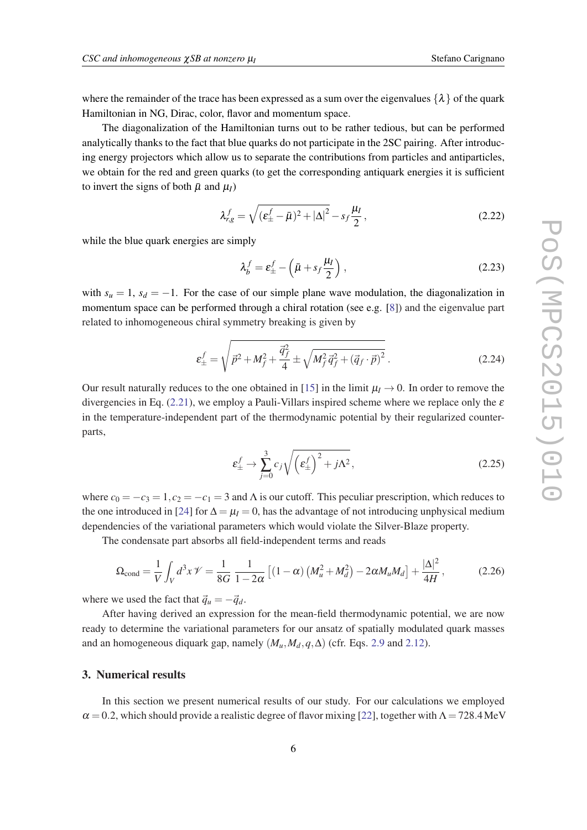where the remainder of the trace has been expressed as a sum over the eigenvalues  $\{\lambda\}$  of the quark Hamiltonian in NG, Dirac, color, flavor and momentum space.

The diagonalization of the Hamiltonian turns out to be rather tedious, but can be performed analytically thanks to the fact that blue quarks do not participate in the 2SC pairing. After introducing energy projectors which allow us to separate the contributions from particles and antiparticles, we obtain for the red and green quarks (to get the corresponding antiquark energies it is sufficient to invert the signs of both  $\bar{\mu}$  and  $\mu$ <sup>I</sup>)

$$
\lambda_{r,g}^f = \sqrt{(\varepsilon_{\pm}^f - \bar{\mu})^2 + |\Delta|^2} - s_f \frac{\mu_I}{2},\qquad(2.22)
$$

while the blue quark energies are simply

$$
\lambda_b^f = \varepsilon_{\pm}^f - \left(\bar{\mu} + s_f \frac{\mu_I}{2}\right),\tag{2.23}
$$

with  $s_u = 1$ ,  $s_d = -1$ . For the case of our simple plane wave modulation, the diagonalization in momentum space can be performed through a chiral rotation (see e.g. [\[8\]](#page-12-0)) and the eigenvalue part related to inhomogeneous chiral symmetry breaking is given by

$$
\varepsilon_{\pm}^{f} = \sqrt{\vec{p}^{2} + M_{f}^{2} + \frac{\vec{q}_{f}^{2}}{4}} \pm \sqrt{M_{f}^{2}\vec{q}_{f}^{2} + (\vec{q}_{f} \cdot \vec{p})^{2}}.
$$
 (2.24)

Our result naturally reduces to the one obtained in [[15\]](#page-12-0) in the limit  $\mu_I \rightarrow 0$ . In order to remove the divergencies in Eq. ([2.21\)](#page-4-0), we employ a Pauli-Villars inspired scheme where we replace only the  $\varepsilon$ in the temperature-independent part of the thermodynamic potential by their regularized counterparts,

$$
\varepsilon_{\pm}^{f} \to \sum_{j=0}^{3} c_{j} \sqrt{\left(\varepsilon_{\pm}^{f}\right)^{2} + j\Lambda^{2}},\tag{2.25}
$$

where  $c_0 = -c_3 = 1, c_2 = -c_1 = 3$  and  $\Lambda$  is our cutoff. This peculiar prescription, which reduces to the one introduced in [\[24\]](#page-13-0) for  $\Delta = \mu_I = 0$ , has the advantage of not introducing unphysical medium dependencies of the variational parameters which would violate the Silver-Blaze property.

The condensate part absorbs all field-independent terms and reads

$$
\Omega_{\text{cond}} = \frac{1}{V} \int_{V} d^{3}x \, \mathcal{V} = \frac{1}{8G} \frac{1}{1 - 2\alpha} \left[ (1 - \alpha) \left( M_{u}^{2} + M_{d}^{2} \right) - 2\alpha M_{u} M_{d} \right] + \frac{|\Delta|^{2}}{4H},\tag{2.26}
$$

where we used the fact that  $\vec{q}_u = -\vec{q}_d$ .

After having derived an expression for the mean-field thermodynamic potential, we are now ready to determine the variational parameters for our ansatz of spatially modulated quark masses and an homogeneous diquark gap, namely  $(M_u, M_d, q, \Delta)$  (cfr. Eqs. [2.9](#page-3-0) and [2.12\)](#page-3-0).

#### 3. Numerical results

In this section we present numerical results of our study. For our calculations we employed  $\alpha = 0.2$ , which should provide a realistic degree of flavor mixing [[22\]](#page-13-0), together with  $\Lambda = 728.4 \text{ MeV}$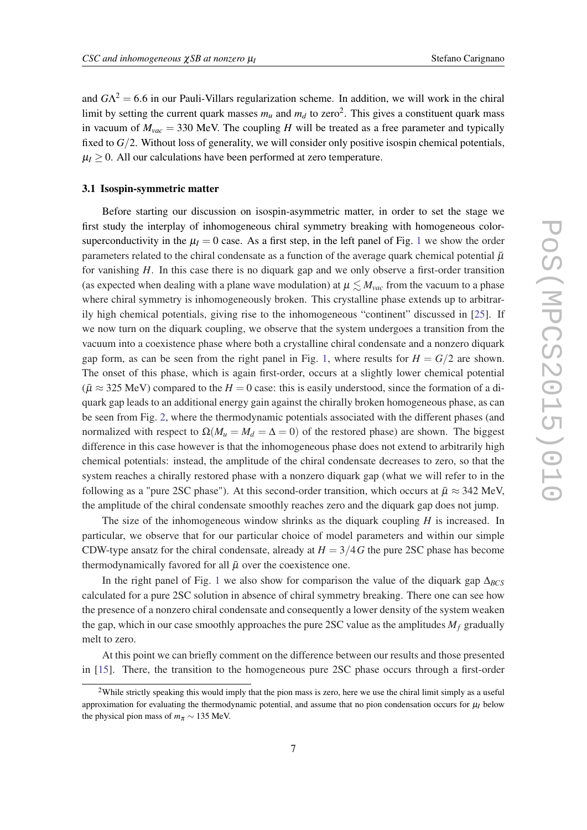and  $G\Lambda^2 = 6.6$  in our Pauli-Villars regularization scheme. In addition, we will work in the chiral limit by setting the current quark masses  $m_u$  and  $m_d$  to zero<sup>2</sup>. This gives a constituent quark mass in vacuum of  $M_{vac} = 330$  MeV. The coupling *H* will be treated as a free parameter and typically fixed to *G*/2. Without loss of generality, we will consider only positive isospin chemical potentials,  $\mu$ <sub>*I*</sub>  $\geq$  0. All our calculations have been performed at zero temperature.

## 3.1 Isospin-symmetric matter

Before starting our discussion on isospin-asymmetric matter, in order to set the stage we first study the interplay of inhomogeneous chiral symmetry breaking with homogeneous colorsuperconductivity in the  $\mu$ <sup>*I*</sup> = 0 case. As a first step, in the left panel of Fig. [1](#page-7-0) we show the order parameters related to the chiral condensate as a function of the average quark chemical potential  $\bar{\mu}$ for vanishing *H*. In this case there is no diquark gap and we only observe a first-order transition (as expected when dealing with a plane wave modulation) at  $\mu \leq M_{vac}$  from the vacuum to a phase where chiral symmetry is inhomogeneously broken. This crystalline phase extends up to arbitrarily high chemical potentials, giving rise to the inhomogeneous "continent" discussed in [\[25](#page-13-0)]. If we now turn on the diquark coupling, we observe that the system undergoes a transition from the vacuum into a coexistence phase where both a crystalline chiral condensate and a nonzero diquark gap form, as can be seen from the right panel in Fig. [1](#page-7-0), where results for  $H = G/2$  are shown. The onset of this phase, which is again first-order, occurs at a slightly lower chemical potential  $(\bar{\mu} \approx 325 \text{ MeV})$  compared to the  $H = 0$  case: this is easily understood, since the formation of a diquark gap leads to an additional energy gain against the chirally broken homogeneous phase, as can be seen from Fig. [2,](#page-7-0) where the thermodynamic potentials associated with the different phases (and normalized with respect to  $\Omega(M_u = M_d = \Delta = 0)$  of the restored phase) are shown. The biggest difference in this case however is that the inhomogeneous phase does not extend to arbitrarily high chemical potentials: instead, the amplitude of the chiral condensate decreases to zero, so that the system reaches a chirally restored phase with a nonzero diquark gap (what we will refer to in the following as a "pure 2SC phase"). At this second-order transition, which occurs at  $\bar{\mu} \approx 342$  MeV, the amplitude of the chiral condensate smoothly reaches zero and the diquark gap does not jump.

The size of the inhomogeneous window shrinks as the diquark coupling *H* is increased. In particular, we observe that for our particular choice of model parameters and within our simple CDW-type ansatz for the chiral condensate, already at  $H = 3/4G$  the pure 2SC phase has become thermodynamically favored for all  $\bar{\mu}$  over the coexistence one.

In the right panel of Fig. [1](#page-7-0) we also show for comparison the value of the diquark gap Δ<sub>*BCS*</sub> calculated for a pure 2SC solution in absence of chiral symmetry breaking. There one can see how the presence of a nonzero chiral condensate and consequently a lower density of the system weaken the gap, which in our case smoothly approaches the pure 2SC value as the amplitudes  $M_f$  gradually melt to zero.

At this point we can briefly comment on the difference between our results and those presented in [\[15](#page-12-0)]. There, the transition to the homogeneous pure 2SC phase occurs through a first-order

<sup>&</sup>lt;sup>2</sup>While strictly speaking this would imply that the pion mass is zero, here we use the chiral limit simply as a useful approximation for evaluating the thermodynamic potential, and assume that no pion condensation occurs for  $\mu_I$  below the physical pion mass of  $m_\pi \sim 135$  MeV.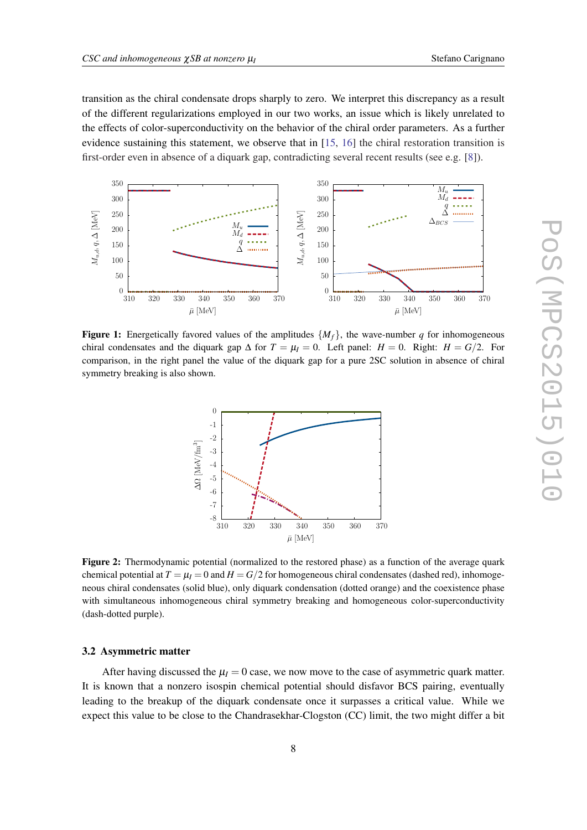<span id="page-7-0"></span>transition as the chiral condensate drops sharply to zero. We interpret this discrepancy as a result of the different regularizations employed in our two works, an issue which is likely unrelated to the effects of color-superconductivity on the behavior of the chiral order parameters. As a further evidence sustaining this statement, we observe that in [\[15](#page-12-0), [16\]](#page-12-0) the chiral restoration transition is first-order even in absence of a diquark gap, contradicting several recent results (see e.g. [[8](#page-12-0)]).



**Figure 1:** Energetically favored values of the amplitudes  $\{M_f\}$ , the wave-number *q* for inhomogeneous chiral condensates and the diquark gap  $\Delta$  for  $T = \mu_I = 0$ . Left panel:  $H = 0$ . Right:  $H = G/2$ . For comparison, in the right panel the value of the diquark gap for a pure 2SC solution in absence of chiral symmetry breaking is also shown.



Figure 2: Thermodynamic potential (normalized to the restored phase) as a function of the average quark chemical potential at  $T = \mu_I = 0$  and  $H = G/2$  for homogeneous chiral condensates (dashed red), inhomogeneous chiral condensates (solid blue), only diquark condensation (dotted orange) and the coexistence phase with simultaneous inhomogeneous chiral symmetry breaking and homogeneous color-superconductivity (dash-dotted purple).

## 3.2 Asymmetric matter

After having discussed the  $\mu$ <sup>*I*</sup> = 0 case, we now move to the case of asymmetric quark matter. It is known that a nonzero isospin chemical potential should disfavor BCS pairing, eventually leading to the breakup of the diquark condensate once it surpasses a critical value. While we expect this value to be close to the Chandrasekhar-Clogston (CC) limit, the two might differ a bit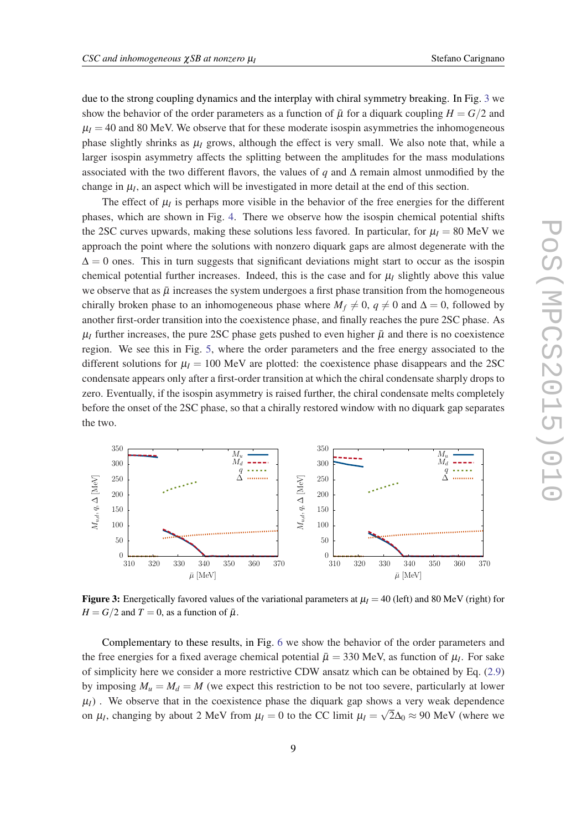due to the strong coupling dynamics and the interplay with chiral symmetry breaking. In Fig. 3 we show the behavior of the order parameters as a function of  $\bar{\mu}$  for a diquark coupling  $H = G/2$  and  $\mu_I$  = 40 and 80 MeV. We observe that for these moderate isospin asymmetries the inhomogeneous phase slightly shrinks as  $\mu_I$  grows, although the effect is very small. We also note that, while a larger isospin asymmetry affects the splitting between the amplitudes for the mass modulations associated with the two different flavors, the values of *q* and  $\Delta$  remain almost unmodified by the change in  $\mu_I$ , an aspect which will be investigated in more detail at the end of this section.

The effect of  $\mu_I$  is perhaps more visible in the behavior of the free energies for the different phases, which are shown in Fig. [4](#page-9-0). There we observe how the isospin chemical potential shifts the 2SC curves upwards, making these solutions less favored. In particular, for  $\mu_I = 80$  MeV we approach the point where the solutions with nonzero diquark gaps are almost degenerate with the  $\Delta = 0$  ones. This in turn suggests that significant deviations might start to occur as the isospin chemical potential further increases. Indeed, this is the case and for  $\mu$ <sub>*I*</sub> slightly above this value we observe that as  $\bar{\mu}$  increases the system undergoes a first phase transition from the homogeneous chirally broken phase to an inhomogeneous phase where  $M_f \neq 0$ ,  $q \neq 0$  and  $\Delta = 0$ , followed by another first-order transition into the coexistence phase, and finally reaches the pure 2SC phase. As  $\mu_l$  further increases, the pure 2SC phase gets pushed to even higher  $\bar{\mu}$  and there is no coexistence region. We see this in Fig. [5](#page-9-0), where the order parameters and the free energy associated to the different solutions for  $\mu$ <sup>*I*</sup> = 100 MeV are plotted: the coexistence phase disappears and the 2SC condensate appears only after a first-order transition at which the chiral condensate sharply drops to zero. Eventually, if the isospin asymmetry is raised further, the chiral condensate melts completely before the onset of the 2SC phase, so that a chirally restored window with no diquark gap separates the two.



**Figure 3:** Energetically favored values of the variational parameters at  $\mu$ <sup>*I*</sup> = 40 (left) and 80 MeV (right) for  $H = G/2$  and  $T = 0$ , as a function of  $\bar{\mu}$ .

Complementary to these results, in Fig. [6](#page-10-0) we show the behavior of the order parameters and the free energies for a fixed average chemical potential  $\bar{\mu} = 330$  MeV, as function of  $\mu_I$ . For sake of simplicity here we consider a more restrictive CDW ansatz which can be obtained by Eq. ([2.9](#page-3-0)) by imposing  $M_u = M_d = M$  (we expect this restriction to be not too severe, particularly at lower  $\mu_I$ ). We observe that in the coexistence phase the diquark gap shows a very weak dependence on  $\mu_I$ , changing by about 2 MeV from  $\mu_I = 0$  to the CC limit  $\mu_I = \sqrt{2\Delta_0} \approx 90$  MeV (where we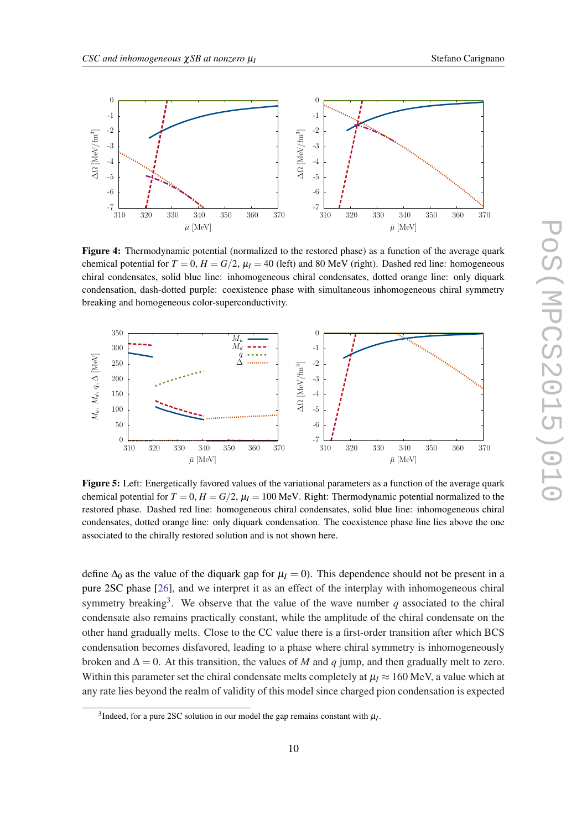<span id="page-9-0"></span>

Figure 4: Thermodynamic potential (normalized to the restored phase) as a function of the average quark chemical potential for  $T = 0$ ,  $H = G/2$ ,  $\mu_I = 40$  (left) and 80 MeV (right). Dashed red line: homogeneous chiral condensates, solid blue line: inhomogeneous chiral condensates, dotted orange line: only diquark condensation, dash-dotted purple: coexistence phase with simultaneous inhomogeneous chiral symmetry breaking and homogeneous color-superconductivity.



Figure 5: Left: Energetically favored values of the variational parameters as a function of the average quark chemical potential for  $T = 0$ ,  $H = G/2$ ,  $\mu_I = 100$  MeV. Right: Thermodynamic potential normalized to the restored phase. Dashed red line: homogeneous chiral condensates, solid blue line: inhomogeneous chiral condensates, dotted orange line: only diquark condensation. The coexistence phase line lies above the one associated to the chirally restored solution and is not shown here.

define  $\Delta_0$  as the value of the diquark gap for  $\mu_I = 0$ ). This dependence should not be present in a pure 2SC phase [\[26](#page-13-0)], and we interpret it as an effect of the interplay with inhomogeneous chiral symmetry breaking<sup>3</sup>. We observe that the value of the wave number  $q$  associated to the chiral condensate also remains practically constant, while the amplitude of the chiral condensate on the other hand gradually melts. Close to the CC value there is a first-order transition after which BCS condensation becomes disfavored, leading to a phase where chiral symmetry is inhomogeneously broken and  $\Delta = 0$ . At this transition, the values of *M* and *q* jump, and then gradually melt to zero. Within this parameter set the chiral condensate melts completely at  $\mu$ <sub>*I*</sub>  $\approx$  160 MeV, a value which at any rate lies beyond the realm of validity of this model since charged pion condensation is expected

<sup>&</sup>lt;sup>3</sup>Indeed, for a pure 2SC solution in our model the gap remains constant with  $\mu_I$ .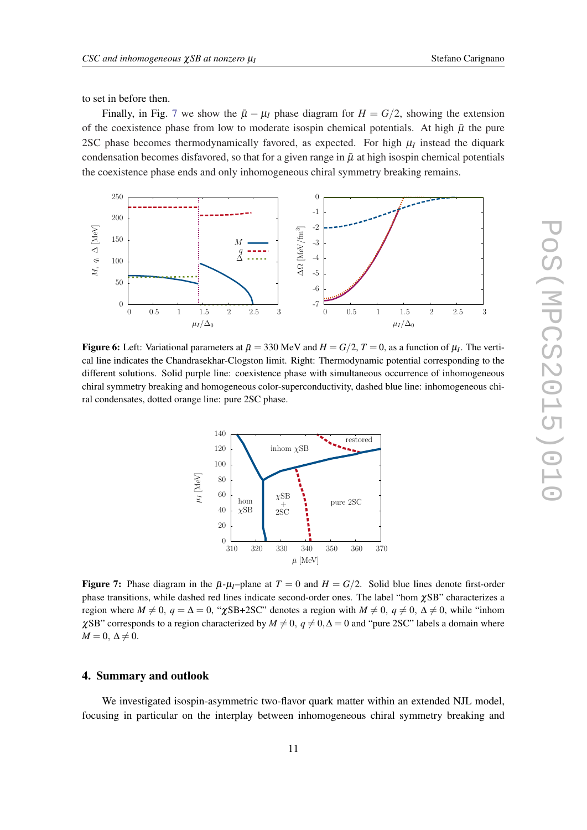<span id="page-10-0"></span>to set in before then.

Finally, in Fig. 7 we show the  $\bar{\mu} - \mu_I$  phase diagram for  $H = G/2$ , showing the extension of the coexistence phase from low to moderate isospin chemical potentials. At high  $\bar{\mu}$  the pure 2SC phase becomes thermodynamically favored, as expected. For high  $\mu_I$  instead the diquark condensation becomes disfavored, so that for a given range in  $\bar{\mu}$  at high isospin chemical potentials the coexistence phase ends and only inhomogeneous chiral symmetry breaking remains.



Figure 6: Left: Variational parameters at  $\bar{\mu} = 330 \text{ MeV}$  and  $H = G/2$ ,  $T = 0$ , as a function of  $\mu_I$ . The vertical line indicates the Chandrasekhar-Clogston limit. Right: Thermodynamic potential corresponding to the different solutions. Solid purple line: coexistence phase with simultaneous occurrence of inhomogeneous chiral symmetry breaking and homogeneous color-superconductivity, dashed blue line: inhomogeneous chiral condensates, dotted orange line: pure 2SC phase.



Figure 7: Phase diagram in the  $\bar{\mu}$ - $\mu$ <sub>*I*</sub>–plane at  $T = 0$  and  $H = G/2$ . Solid blue lines denote first-order phase transitions, while dashed red lines indicate second-order ones. The label "hom  $\chi$ SB" characterizes a region where  $M \neq 0$ ,  $q = \Delta = 0$ , " $\chi$ SB+2SC" denotes a region with  $M \neq 0$ ,  $q \neq 0$ ,  $\Delta \neq 0$ , while "inhom  $\chi$ SB" corresponds to a region characterized by *M*  $\neq$  0, *q*  $\neq$  0,  $\Delta$  = 0 and "pure 2SC" labels a domain where  $M = 0, \Delta \neq 0.$ 

#### 4. Summary and outlook

We investigated isospin-asymmetric two-flavor quark matter within an extended NJL model, focusing in particular on the interplay between inhomogeneous chiral symmetry breaking and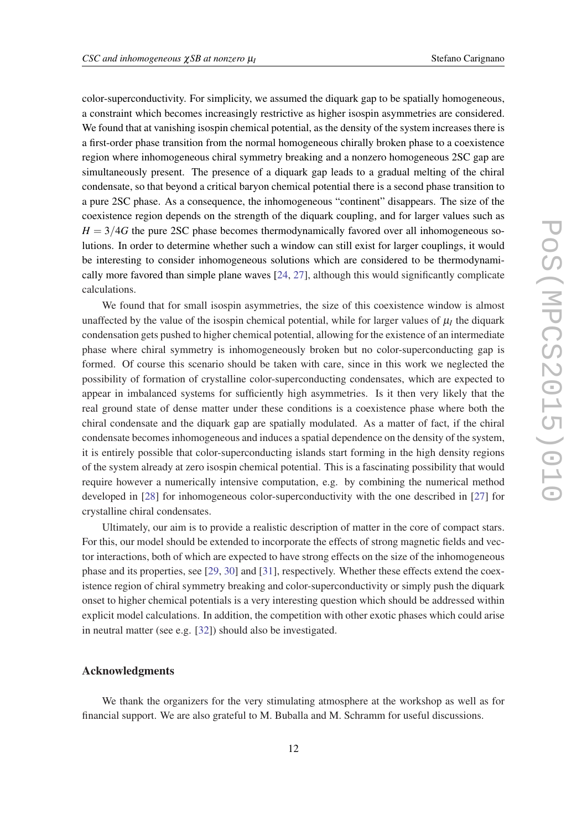color-superconductivity. For simplicity, we assumed the diquark gap to be spatially homogeneous, a constraint which becomes increasingly restrictive as higher isospin asymmetries are considered. We found that at vanishing isospin chemical potential, as the density of the system increases there is a first-order phase transition from the normal homogeneous chirally broken phase to a coexistence region where inhomogeneous chiral symmetry breaking and a nonzero homogeneous 2SC gap are simultaneously present. The presence of a diquark gap leads to a gradual melting of the chiral condensate, so that beyond a critical baryon chemical potential there is a second phase transition to a pure 2SC phase. As a consequence, the inhomogeneous "continent" disappears. The size of the coexistence region depends on the strength of the diquark coupling, and for larger values such as  $H = 3/4G$  the pure 2SC phase becomes thermodynamically favored over all inhomogeneous solutions. In order to determine whether such a window can still exist for larger couplings, it would be interesting to consider inhomogeneous solutions which are considered to be thermodynamically more favored than simple plane waves [\[24](#page-13-0), [27\]](#page-13-0), although this would significantly complicate calculations.

We found that for small isospin asymmetries, the size of this coexistence window is almost unaffected by the value of the isospin chemical potential, while for larger values of  $\mu_I$  the diquark condensation gets pushed to higher chemical potential, allowing for the existence of an intermediate phase where chiral symmetry is inhomogeneously broken but no color-superconducting gap is formed. Of course this scenario should be taken with care, since in this work we neglected the possibility of formation of crystalline color-superconducting condensates, which are expected to appear in imbalanced systems for sufficiently high asymmetries. Is it then very likely that the real ground state of dense matter under these conditions is a coexistence phase where both the chiral condensate and the diquark gap are spatially modulated. As a matter of fact, if the chiral condensate becomes inhomogeneous and induces a spatial dependence on the density of the system, it is entirely possible that color-superconducting islands start forming in the high density regions of the system already at zero isospin chemical potential. This is a fascinating possibility that would require however a numerically intensive computation, e.g. by combining the numerical method developed in [[28\]](#page-13-0) for inhomogeneous color-superconductivity with the one described in [\[27](#page-13-0)] for crystalline chiral condensates.

Ultimately, our aim is to provide a realistic description of matter in the core of compact stars. For this, our model should be extended to incorporate the effects of strong magnetic fields and vector interactions, both of which are expected to have strong effects on the size of the inhomogeneous phase and its properties, see [\[29](#page-13-0), [30](#page-13-0)] and [\[31](#page-13-0)], respectively. Whether these effects extend the coexistence region of chiral symmetry breaking and color-superconductivity or simply push the diquark onset to higher chemical potentials is a very interesting question which should be addressed within explicit model calculations. In addition, the competition with other exotic phases which could arise in neutral matter (see e.g. [\[32](#page-13-0)]) should also be investigated.

#### Acknowledgments

We thank the organizers for the very stimulating atmosphere at the workshop as well as for financial support. We are also grateful to M. Buballa and M. Schramm for useful discussions.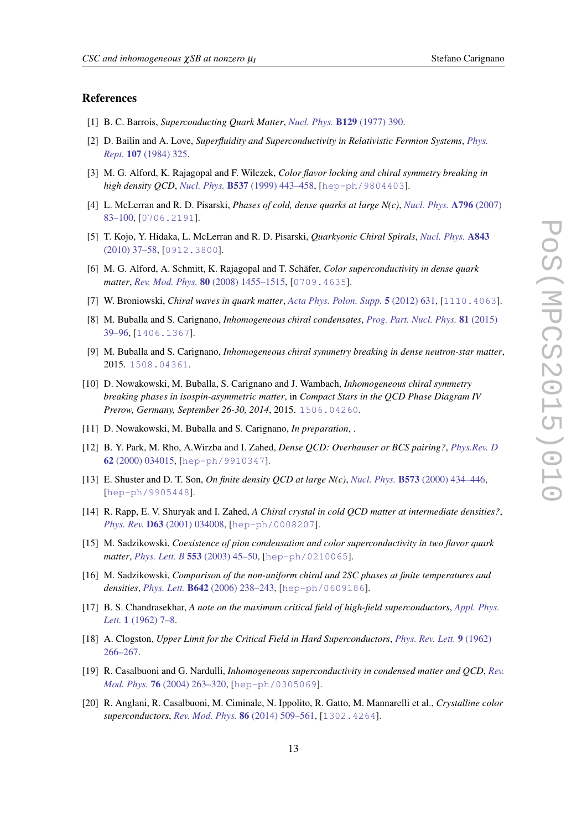#### <span id="page-12-0"></span>References

- [1] B. C. Barrois, *Superconducting Quark Matter*, *[Nucl. Phys.](http://dx.doi.org/10.1016/0550-3213(77)90123-7)* B129 (1977) 390.
- [2] D. Bailin and A. Love, *Superfluidity and Superconductivity in Relativistic Fermion Systems*, *[Phys.](http://dx.doi.org/10.1016/0370-1573(84)90145-5) Rept.* 107 [\(1984\) 325](http://dx.doi.org/10.1016/0370-1573(84)90145-5).
- [3] M. G. Alford, K. Rajagopal and F. Wilczek, *Color flavor locking and chiral symmetry breaking in high density QCD*, *Nucl. Phys.* B537 [\(1999\) 443–458](http://dx.doi.org/10.1016/S0550-3213(98)00668-3), [[hep-ph/9804403](http://arxiv.org/abs/hep-ph/9804403)].
- [4] L. McLerran and R. D. Pisarski, *Phases of cold, dense quarks at large N(c)*, *[Nucl. Phys.](http://dx.doi.org/10.1016/j.nuclphysa.2007.08.013)* A796 (2007) [83–100](http://dx.doi.org/10.1016/j.nuclphysa.2007.08.013), [[0706.2191](http://arxiv.org/abs/0706.2191)].
- [5] T. Kojo, Y. Hidaka, L. McLerran and R. D. Pisarski, *Quarkyonic Chiral Spirals*, *[Nucl. Phys.](http://dx.doi.org/10.1016/j.nuclphysa.2010.05.053)* A843 [\(2010\) 37–58](http://dx.doi.org/10.1016/j.nuclphysa.2010.05.053), [[0912.3800](http://arxiv.org/abs/0912.3800)].
- [6] M. G. Alford, A. Schmitt, K. Rajagopal and T. Schäfer, *Color superconductivity in dense quark matter*, *Rev. Mod. Phys.* 80 [\(2008\) 1455–1515](http://dx.doi.org/10.1103/RevModPhys.80.1455), [[0709.4635](http://arxiv.org/abs/0709.4635)].
- [7] W. Broniowski, *Chiral waves in quark matter*, *[Acta Phys. Polon. Supp.](http://dx.doi.org/10.5506/APhysPolBSupp.5.631)* 5 (2012) 631, [[1110.4063](http://arxiv.org/abs/1110.4063)].
- [8] M. Buballa and S. Carignano, *Inhomogeneous chiral condensates*, *[Prog. Part. Nucl. Phys.](http://dx.doi.org/10.1016/j.ppnp.2014.11.001)* 81 (2015) [39–96](http://dx.doi.org/10.1016/j.ppnp.2014.11.001), [[1406.1367](http://arxiv.org/abs/1406.1367)].
- [9] M. Buballa and S. Carignano, *Inhomogeneous chiral symmetry breaking in dense neutron-star matter*, 2015. [1508.04361](http://arxiv.org/abs/1508.04361).
- [10] D. Nowakowski, M. Buballa, S. Carignano and J. Wambach, *Inhomogeneous chiral symmetry breaking phases in isospin-asymmetric matter*, in *Compact Stars in the QCD Phase Diagram IV Prerow, Germany, September 26-30, 2014*, 2015. [1506.04260](http://arxiv.org/abs/1506.04260).
- [11] D. Nowakowski, M. Buballa and S. Carignano, *In preparation*, .
- [12] B. Y. Park, M. Rho, A.Wirzba and I. Zahed, *Dense QCD: Overhauser or BCS pairing?*, *[Phys.Rev. D](http://dx.doi.org/10.1103/PhysRevD.62.034015)* 62 [\(2000\) 034015,](http://dx.doi.org/10.1103/PhysRevD.62.034015) [[hep-ph/9910347](http://arxiv.org/abs/hep-ph/9910347)].
- [13] E. Shuster and D. T. Son, *On finite density QCD at large N(c)*, *Nucl. Phys.* B573 [\(2000\) 434–446](http://dx.doi.org/10.1016/S0550-3213(99)00615-X), [[hep-ph/9905448](http://arxiv.org/abs/hep-ph/9905448)].
- [14] R. Rapp, E. V. Shuryak and I. Zahed, *A Chiral crystal in cold QCD matter at intermediate densities?*, *Phys. Rev.* D63 [\(2001\) 034008](http://dx.doi.org/10.1103/PhysRevD.63.034008), [[hep-ph/0008207](http://arxiv.org/abs/hep-ph/0008207)].
- [15] M. Sadzikowski, *Coexistence of pion condensation and color superconductivity in two flavor quark matter*, *Phys. Lett. B* 553 [\(2003\) 45–50](http://dx.doi.org/10.1016/S0370-2693(02)03188-X), [[hep-ph/0210065](http://arxiv.org/abs/hep-ph/0210065)].
- [16] M. Sadzikowski, *Comparison of the non-uniform chiral and 2SC phases at finite temperatures and densities*, *Phys. Lett.* B642 [\(2006\) 238–243](http://dx.doi.org/10.1016/j.physletb.2006.08.086), [[hep-ph/0609186](http://arxiv.org/abs/hep-ph/0609186)].
- [17] B. S. Chandrasekhar, *A note on the maximum critical field of high-field superconductors*, *[Appl. Phys.](http://dx.doi.org/http://dx.doi.org/10.1063/1.1777362) Lett.* 1 [\(1962\) 7–8](http://dx.doi.org/http://dx.doi.org/10.1063/1.1777362).
- [18] A. Clogston, *Upper Limit for the Critical Field in Hard Superconductors*, *[Phys. Rev. Lett.](http://dx.doi.org/10.1103/PhysRevLett.9.266)* 9 (1962) [266–267](http://dx.doi.org/10.1103/PhysRevLett.9.266).
- [19] R. Casalbuoni and G. Nardulli, *Inhomogeneous superconductivity in condensed matter and QCD*, *[Rev.](http://dx.doi.org/10.1103/RevModPhys.76.263) Mod. Phys.* 76 [\(2004\) 263–320](http://dx.doi.org/10.1103/RevModPhys.76.263), [[hep-ph/0305069](http://arxiv.org/abs/hep-ph/0305069)].
- [20] R. Anglani, R. Casalbuoni, M. Ciminale, N. Ippolito, R. Gatto, M. Mannarelli et al., *Crystalline color superconductors*, *Rev. Mod. Phys.* 86 [\(2014\) 509–561](http://dx.doi.org/10.1103/RevModPhys.86.509), [[1302.4264](http://arxiv.org/abs/1302.4264)].